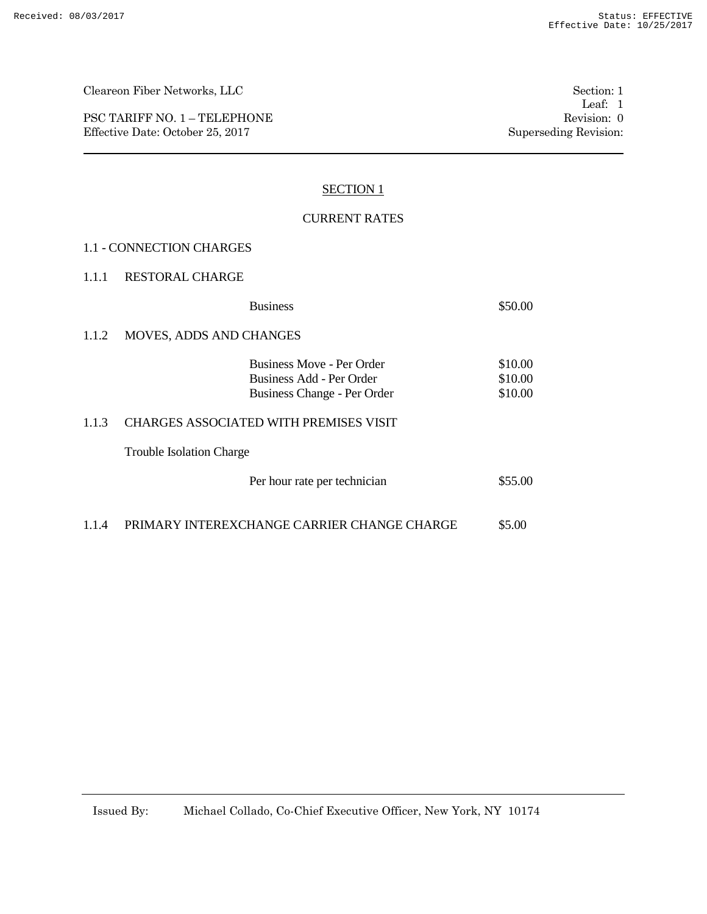PSC TARIFF NO. 1 – TELEPHONE Revision: 0 Effective Date: October 25, 2017 Superseding Revision:

## SECTION 1

## CURRENT RATES

#### 1.1 - CONNECTION CHARGES

#### 1.1.1 RESTORAL CHARGE

|       | <b>Business</b>                                                                             | \$50.00                       |  |  |  |  |
|-------|---------------------------------------------------------------------------------------------|-------------------------------|--|--|--|--|
| 1.1.2 | <b>MOVES, ADDS AND CHANGES</b>                                                              |                               |  |  |  |  |
|       | <b>Business Move - Per Order</b><br>Business Add - Per Order<br>Business Change - Per Order | \$10.00<br>\$10.00<br>\$10.00 |  |  |  |  |
| 1.1.3 | <b>CHARGES ASSOCIATED WITH PREMISES VISIT</b>                                               |                               |  |  |  |  |
|       | <b>Trouble Isolation Charge</b>                                                             |                               |  |  |  |  |
|       | Per hour rate per technician                                                                | \$55.00                       |  |  |  |  |

1.1.4 PRIMARY INTEREXCHANGE CARRIER CHANGE CHARGE \$5.00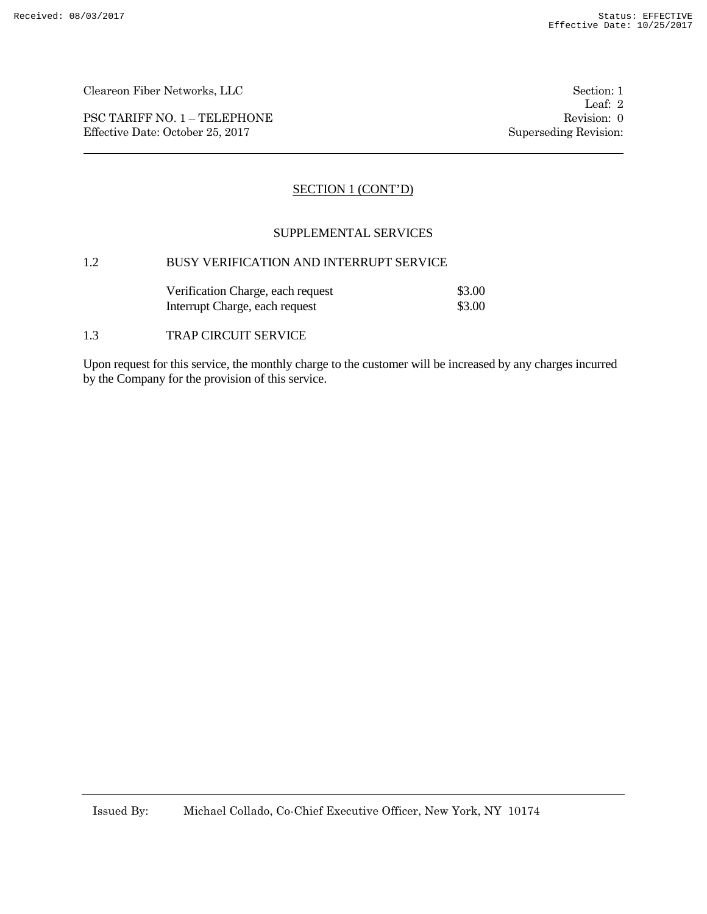PSC TARIFF NO. 1 – TELEPHONE Revision: 0 Effective Date: October 25, 2017 Superseding Revision:

Leaf: 2

## SECTION 1 (CONT'D)

## SUPPLEMENTAL SERVICES

# 1.2 BUSY VERIFICATION AND INTERRUPT SERVICE

| Verification Charge, each request | \$3.00 |
|-----------------------------------|--------|
| Interrupt Charge, each request    | \$3.00 |

#### 1.3 TRAP CIRCUIT SERVICE

Upon request for this service, the monthly charge to the customer will be increased by any charges incurred by the Company for the provision of this service.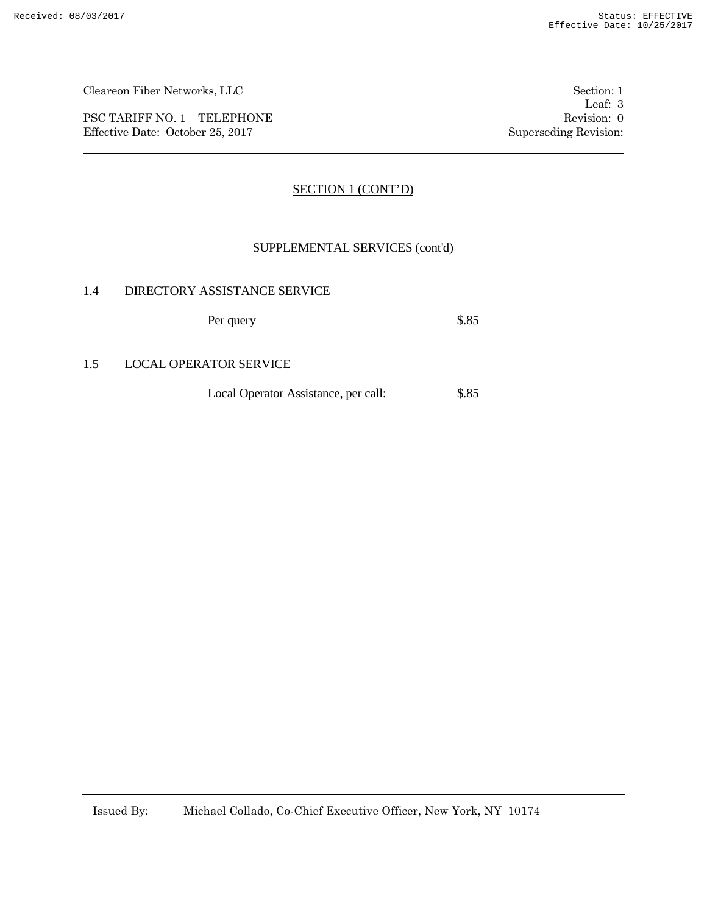PSC TARIFF NO. 1 – TELEPHONE Revision: 0 Effective Date: October 25, 2017 Superseding Revision:

Leaf: 3

## SECTION 1 (CONT'D)

#### SUPPLEMENTAL SERVICES (cont'd)

#### 1.4 DIRECTORY ASSISTANCE SERVICE

Per query \$.85

## 1.5 LOCAL OPERATOR SERVICE

Local Operator Assistance, per call: \$.85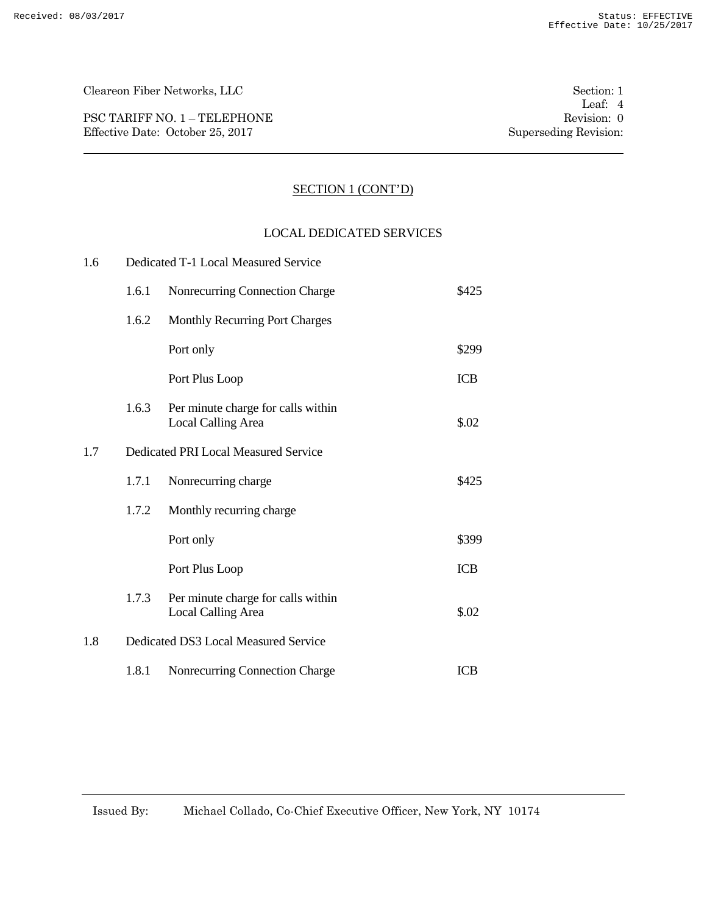PSC TARIFF NO. 1 – TELEPHONE Revision: 0 Effective Date: October 25, 2017 Superseding Revision:

## SECTION 1 (CONT'D)

#### LOCAL DEDICATED SERVICES

| 1.6 | Dedicated T-1 Local Measured Service |                                                                 |            |  |
|-----|--------------------------------------|-----------------------------------------------------------------|------------|--|
|     | 1.6.1                                | Nonrecurring Connection Charge                                  | \$425      |  |
|     | 1.6.2                                | Monthly Recurring Port Charges                                  |            |  |
|     |                                      | Port only                                                       | \$299      |  |
|     |                                      | Port Plus Loop                                                  | <b>ICB</b> |  |
|     | 1.6.3                                | Per minute charge for calls within<br><b>Local Calling Area</b> | \$.02      |  |
| 1.7 |                                      | Dedicated PRI Local Measured Service                            |            |  |
|     | 1.7.1                                | Nonrecurring charge                                             | \$425      |  |
|     | 1.7.2                                | Monthly recurring charge                                        |            |  |
|     |                                      | Port only                                                       | \$399      |  |
|     |                                      | Port Plus Loop                                                  | <b>ICB</b> |  |
|     | 1.7.3                                | Per minute charge for calls within<br><b>Local Calling Area</b> | \$.02      |  |
| 1.8 | Dedicated DS3 Local Measured Service |                                                                 |            |  |
|     | 1.8.1                                | Nonrecurring Connection Charge                                  | <b>ICB</b> |  |
|     |                                      |                                                                 |            |  |